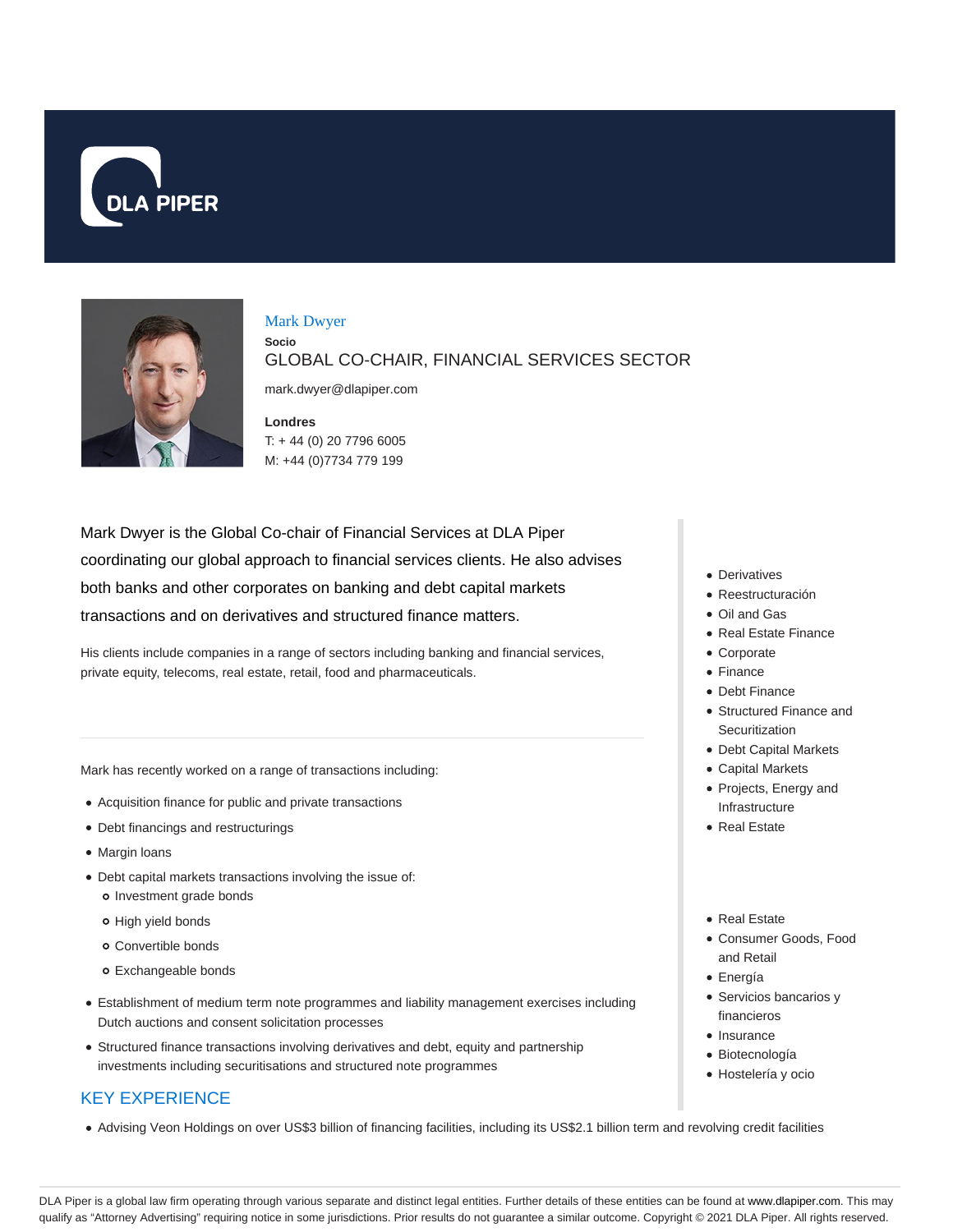



#### Mark Dwyer

**Socio**

GLOBAL CO-CHAIR, FINANCIAL SERVICES SECTOR

mark.dwyer@dlapiper.com

**Londres** T: + 44 (0) 20 7796 6005 M: +44 (0)7734 779 199

Mark Dwyer is the Global Co-chair of Financial Services at DLA Piper coordinating our global approach to financial services clients. He also advises both banks and other corporates on banking and debt capital markets transactions and on derivatives and structured finance matters.

His clients include companies in a range of sectors including banking and financial services, private equity, telecoms, real estate, retail, food and pharmaceuticals.

Mark has recently worked on a range of transactions including:

- Acquisition finance for public and private transactions
- Debt financings and restructurings
- Margin loans
- Debt capital markets transactions involving the issue of: o Investment grade bonds
	- o High yield bonds
	- Convertible bonds
	- Exchangeable bonds
- Establishment of medium term note programmes and liability management exercises including Dutch auctions and consent solicitation processes
- Structured finance transactions involving derivatives and debt, equity and partnership investments including securitisations and structured note programmes

# KEY EXPERIENCE

Advising Veon Holdings on over US\$3 billion of financing facilities, including its US\$2.1 billion term and revolving credit facilities

- Derivatives
- Reestructuración
- Oil and Gas
- Real Estate Finance
- Corporate
- Finance
- Debt Finance Structured Finance and
- **Securitization**
- Debt Capital Markets
- Capital Markets
- Projects, Energy and Infrastructure
- Real Estate
- Real Estate
- Consumer Goods, Food and Retail
- Energía
- Servicios bancarios y financieros
- Insurance
- Biotecnología
- Hostelería y ocio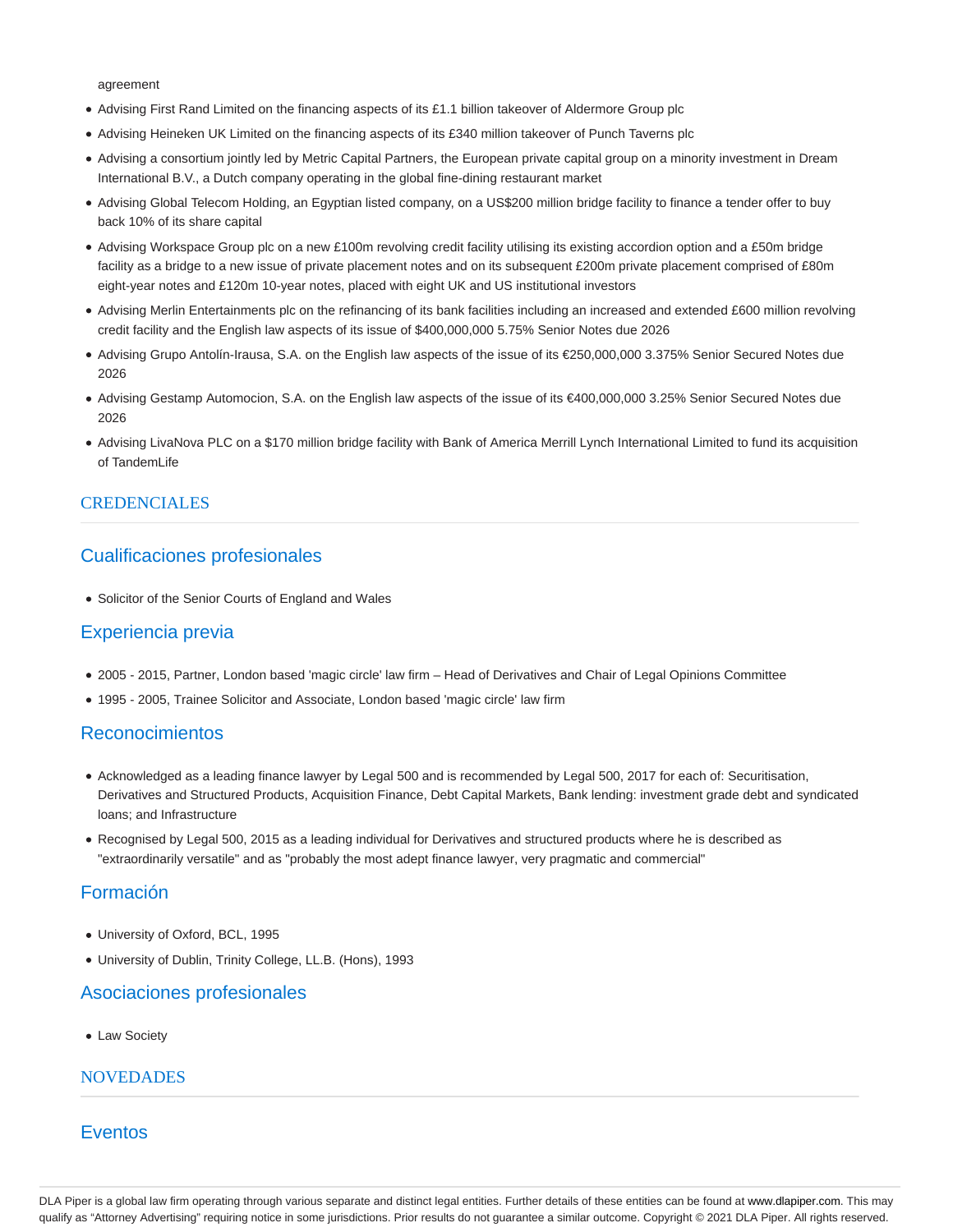agreement

- Advising First Rand Limited on the financing aspects of its £1.1 billion takeover of Aldermore Group plc
- Advising Heineken UK Limited on the financing aspects of its £340 million takeover of Punch Taverns plc
- Advising a consortium jointly led by Metric Capital Partners, the European private capital group on a minority investment in Dream International B.V., a Dutch company operating in the global fine-dining restaurant market
- Advising Global Telecom Holding, an Egyptian listed company, on a US\$200 million bridge facility to finance a tender offer to buy back 10% of its share capital
- Advising Workspace Group plc on a new £100m revolving credit facility utilising its existing accordion option and a £50m bridge facility as a bridge to a new issue of private placement notes and on its subsequent £200m private placement comprised of £80m eight-year notes and £120m 10-year notes, placed with eight UK and US institutional investors
- Advising Merlin Entertainments plc on the refinancing of its bank facilities including an increased and extended £600 million revolving credit facility and the English law aspects of its issue of \$400,000,000 5.75% Senior Notes due 2026
- Advising Grupo Antolín-Irausa, S.A. on the English law aspects of the issue of its €250,000,000 3.375% Senior Secured Notes due 2026
- Advising Gestamp Automocion, S.A. on the English law aspects of the issue of its €400,000,000 3.25% Senior Secured Notes due 2026
- Advising LivaNova PLC on a \$170 million bridge facility with Bank of America Merrill Lynch International Limited to fund its acquisition of TandemLife

### CREDENCIALES

## Cualificaciones profesionales

Solicitor of the Senior Courts of England and Wales

## Experiencia previa

- 2005 2015, Partner, London based 'magic circle' law firm Head of Derivatives and Chair of Legal Opinions Committee
- 1995 2005, Trainee Solicitor and Associate, London based 'magic circle' law firm

### Reconocimientos

- Acknowledged as a leading finance lawyer by Legal 500 and is recommended by Legal 500, 2017 for each of: Securitisation, Derivatives and Structured Products, Acquisition Finance, Debt Capital Markets, Bank lending: investment grade debt and syndicated loans; and Infrastructure
- Recognised by Legal 500, 2015 as a leading individual for Derivatives and structured products where he is described as "extraordinarily versatile" and as "probably the most adept finance lawyer, very pragmatic and commercial"

### Formación

- University of Oxford, BCL, 1995
- University of Dublin, Trinity College, LL.B. (Hons), 1993

### Asociaciones profesionales

Law Society

### **NOVEDADES**

## Eventos

DLA Piper is a global law firm operating through various separate and distinct legal entities. Further details of these entities can be found at www.dlapiper.com. This may qualify as "Attorney Advertising" requiring notice in some jurisdictions. Prior results do not guarantee a similar outcome. Copyright © 2021 DLA Piper. All rights reserved.